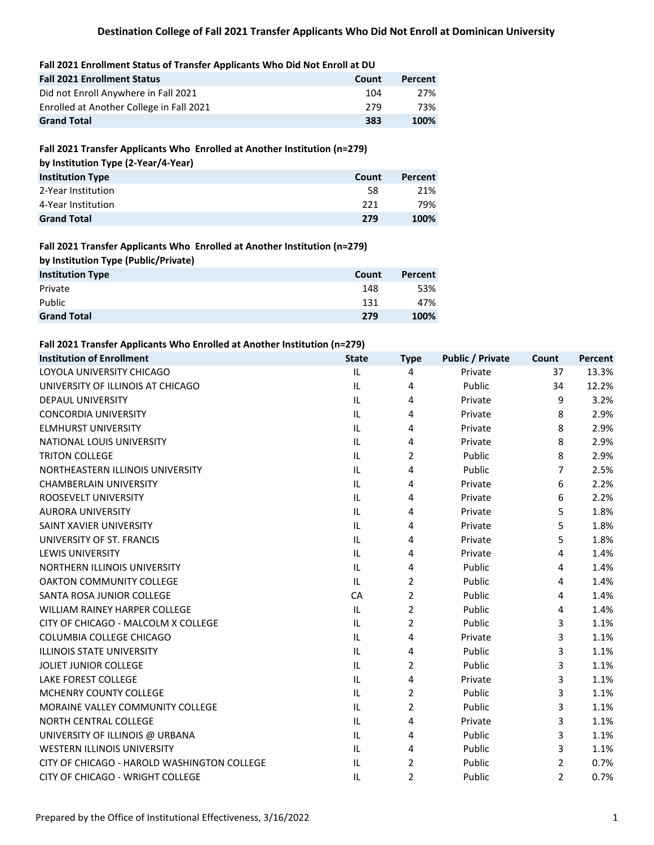#### **Fall 2021 Enrollment Status of Transfer Applicants Who Did Not Enroll at DU**

| <b>Fall 2021 Enrollment Status</b>       | Count | Percent |
|------------------------------------------|-------|---------|
| Did not Enroll Anywhere in Fall 2021     | 104   | 27%     |
| Enrolled at Another College in Fall 2021 | 279   | 73%     |
| <b>Grand Total</b>                       | 383   | 100%    |

### **Fall 2021 Transfer Applicants Who Enrolled at Another Institution (n=279)**

|  |  |  | by Institution Type (2-Year/4-Year) |  |
|--|--|--|-------------------------------------|--|
|--|--|--|-------------------------------------|--|

| <b>Institution Type</b> | Count | Percent |
|-------------------------|-------|---------|
| 2-Year Institution      | 58    | 21%     |
| 4-Year Institution      | 221   | 79%     |
| <b>Grand Total</b>      | 279   | 100%    |

### **Fall 2021 Transfer Applicants Who Enrolled at Another Institution (n=279)**

| by Institution Type (Public/Private) |       |         |
|--------------------------------------|-------|---------|
| <b>Institution Type</b>              | Count | Percent |
| Private                              | 148   | 53%     |
| Public                               | 131   | 47%     |
| <b>Grand Total</b>                   | 279   | 100%    |

#### **Fall 2021 Transfer Applicants Who Enrolled at Another Institution (n=279)**

| <b>Institution of Enrollment</b>            | <b>State</b> | <b>Type</b>    | <b>Public / Private</b> | Count          | Percent |
|---------------------------------------------|--------------|----------------|-------------------------|----------------|---------|
| LOYOLA UNIVERSITY CHICAGO                   | IL           | 4              | Private                 | 37             | 13.3%   |
| UNIVERSITY OF ILLINOIS AT CHICAGO           | IL.          | 4              | Public                  | 34             | 12.2%   |
| <b>DEPAUL UNIVERSITY</b>                    | IL.          | 4              | Private                 | 9              | 3.2%    |
| <b>CONCORDIA UNIVERSITY</b>                 | IL           | 4              | Private                 | 8              | 2.9%    |
| <b>ELMHURST UNIVERSITY</b>                  | IL           | 4              | Private                 | 8              | 2.9%    |
| NATIONAL LOUIS UNIVERSITY                   | IL           | 4              | Private                 | 8              | 2.9%    |
| <b>TRITON COLLEGE</b>                       | IL           | 2              | Public                  | 8              | 2.9%    |
| NORTHEASTERN ILLINOIS UNIVERSITY            | IL.          | 4              | Public                  | $\overline{7}$ | 2.5%    |
| <b>CHAMBERLAIN UNIVERSITY</b>               | IL           | 4              | Private                 | 6              | 2.2%    |
| ROOSEVELT UNIVERSITY                        | IL.          | 4              | Private                 | 6              | 2.2%    |
| <b>AURORA UNIVERSITY</b>                    | IL           | 4              | Private                 | 5              | 1.8%    |
| SAINT XAVIER UNIVERSITY                     | IL.          | 4              | Private                 | 5              | 1.8%    |
| UNIVERSITY OF ST. FRANCIS                   | IL.          | 4              | Private                 | 5              | 1.8%    |
| <b>LEWIS UNIVERSITY</b>                     | IL.          | 4              | Private                 | 4              | 1.4%    |
| NORTHERN ILLINOIS UNIVERSITY                | IL           | 4              | Public                  | 4              | 1.4%    |
| <b>OAKTON COMMUNITY COLLEGE</b>             | IL.          | 2              | Public                  | 4              | 1.4%    |
| SANTA ROSA JUNIOR COLLEGE                   | CA           | $\overline{2}$ | Public                  | 4              | 1.4%    |
| <b>WILLIAM RAINEY HARPER COLLEGE</b>        | IL           | $\overline{2}$ | Public                  | 4              | 1.4%    |
| CITY OF CHICAGO - MALCOLM X COLLEGE         | IL.          | 2              | Public                  | 3              | 1.1%    |
| COLUMBIA COLLEGE CHICAGO                    | IL           | 4              | Private                 | 3              | 1.1%    |
| <b>ILLINOIS STATE UNIVERSITY</b>            | IL.          | 4              | Public                  | 3              | 1.1%    |
| JOLIET JUNIOR COLLEGE                       | IL           | 2              | Public                  | 3              | 1.1%    |
| LAKE FOREST COLLEGE                         | IL.          | 4              | Private                 | 3              | 1.1%    |
| <b>MCHENRY COUNTY COLLEGE</b>               | IL.          | $\overline{2}$ | Public                  | 3              | 1.1%    |
| MORAINE VALLEY COMMUNITY COLLEGE            | IL.          | 2              | Public                  | 3              | 1.1%    |
| NORTH CENTRAL COLLEGE                       | IL           | 4              | Private                 | 3              | 1.1%    |
| UNIVERSITY OF ILLINOIS @ URBANA             | IL           | 4              | Public                  | 3              | 1.1%    |
| WESTERN ILLINOIS UNIVERSITY                 | IL           | 4              | Public                  | 3              | 1.1%    |
| CITY OF CHICAGO - HAROLD WASHINGTON COLLEGE | IL           | 2              | Public                  | $\overline{2}$ | 0.7%    |
| CITY OF CHICAGO - WRIGHT COLLEGE            | IL           | 2              | Public                  | 2              | 0.7%    |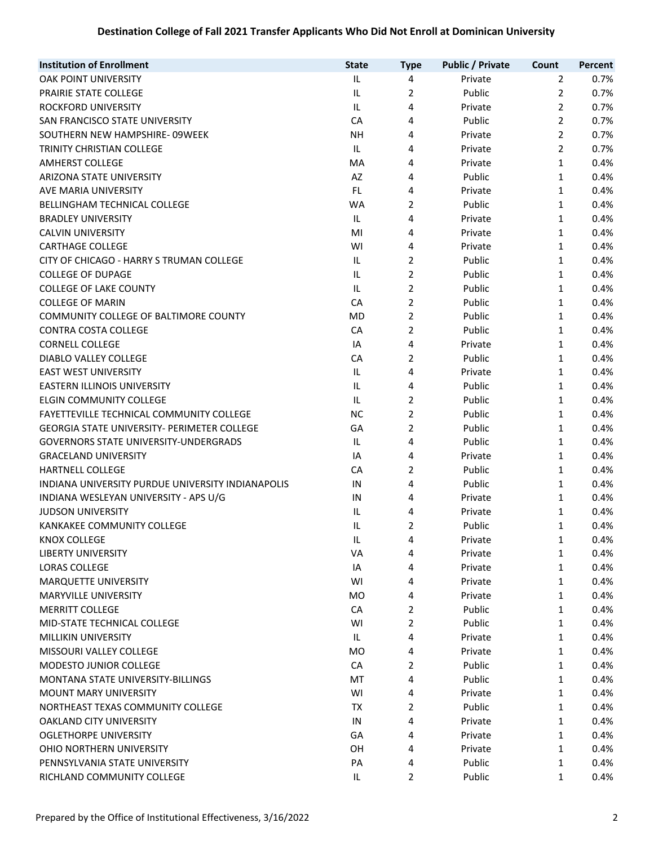# **Destination College of Fall 2021 Transfer Applicants Who Did Not Enroll at Dominican University**

| <b>Institution of Enrollment</b>                  | <b>State</b> | <b>Type</b>    | <b>Public / Private</b> | Count          | Percent |
|---------------------------------------------------|--------------|----------------|-------------------------|----------------|---------|
| OAK POINT UNIVERSITY                              | IL           | 4              | Private                 | $\overline{2}$ | 0.7%    |
| PRAIRIE STATE COLLEGE                             | IL           | $\overline{2}$ | Public                  | $\overline{2}$ | 0.7%    |
| ROCKFORD UNIVERSITY                               | IL           | 4              | Private                 | 2              | 0.7%    |
| SAN FRANCISCO STATE UNIVERSITY                    | CA           | 4              | Public                  | $\overline{2}$ | 0.7%    |
| SOUTHERN NEW HAMPSHIRE-09WEEK                     | <b>NH</b>    | 4              | Private                 | $\overline{2}$ | 0.7%    |
| TRINITY CHRISTIAN COLLEGE                         | IL           | 4              | Private                 | $\overline{2}$ | 0.7%    |
| <b>AMHERST COLLEGE</b>                            | MA           | 4              | Private                 | 1              | 0.4%    |
| ARIZONA STATE UNIVERSITY                          | AZ           | 4              | Public                  | 1              | 0.4%    |
| AVE MARIA UNIVERSITY                              | FL           | 4              | Private                 | 1              | 0.4%    |
| BELLINGHAM TECHNICAL COLLEGE                      | WA           | 2              | Public                  | 1              | 0.4%    |
| <b>BRADLEY UNIVERSITY</b>                         | IL.          | 4              | Private                 | 1              | 0.4%    |
| <b>CALVIN UNIVERSITY</b>                          | MI           | 4              | Private                 | $\mathbf{1}$   | 0.4%    |
| <b>CARTHAGE COLLEGE</b>                           | WI           | 4              | Private                 | 1              | 0.4%    |
| CITY OF CHICAGO - HARRY S TRUMAN COLLEGE          | IL           | $\overline{2}$ | Public                  | 1              | 0.4%    |
| <b>COLLEGE OF DUPAGE</b>                          | IL           | $\overline{2}$ | Public                  | 1              | 0.4%    |
| <b>COLLEGE OF LAKE COUNTY</b>                     | IL           | $\overline{2}$ | Public                  | 1              | 0.4%    |
| <b>COLLEGE OF MARIN</b>                           | CA           | $\overline{2}$ | Public                  | 1              | 0.4%    |
| COMMUNITY COLLEGE OF BALTIMORE COUNTY             | MD           | $\overline{2}$ | Public                  | 1              | 0.4%    |
| CONTRA COSTA COLLEGE                              | CA           | $\overline{2}$ | Public                  | 1              | 0.4%    |
| <b>CORNELL COLLEGE</b>                            | IA           | 4              | Private                 | 1              | 0.4%    |
| DIABLO VALLEY COLLEGE                             | CA           | 2              | Public                  | 1              | 0.4%    |
| <b>EAST WEST UNIVERSITY</b>                       | IL           | 4              | Private                 | 1              | 0.4%    |
| <b>EASTERN ILLINOIS UNIVERSITY</b>                | IL           | 4              | Public                  | $\mathbf{1}$   | 0.4%    |
| <b>ELGIN COMMUNITY COLLEGE</b>                    | IL           | $\overline{2}$ | Public                  | 1              | 0.4%    |
| FAYETTEVILLE TECHNICAL COMMUNITY COLLEGE          | <b>NC</b>    | $\overline{2}$ | Public                  | 1              | 0.4%    |
| GEORGIA STATE UNIVERSITY- PERIMETER COLLEGE       | GA           | $\overline{2}$ | Public                  | $\mathbf{1}$   | 0.4%    |
| GOVERNORS STATE UNIVERSITY-UNDERGRADS             | IL           | 4              | Public                  | 1              | 0.4%    |
| <b>GRACELAND UNIVERSITY</b>                       | IA           | 4              | Private                 | 1              | 0.4%    |
| <b>HARTNELL COLLEGE</b>                           | CA           | $\overline{2}$ | Public                  | 1              | 0.4%    |
| INDIANA UNIVERSITY PURDUE UNIVERSITY INDIANAPOLIS | IN           | 4              | Public                  | 1              | 0.4%    |
| INDIANA WESLEYAN UNIVERSITY - APS U/G             | IN           | 4              | Private                 | 1              | 0.4%    |
| JUDSON UNIVERSITY                                 | IL           | 4              | Private                 | 1              | 0.4%    |
| KANKAKEE COMMUNITY COLLEGE                        | IL           | 2              | Public                  | 1              | 0.4%    |
| <b>KNOX COLLEGE</b>                               | IL           | 4              | Private                 | $\mathbf{1}$   | 0.4%    |
| <b>LIBERTY UNIVERSITY</b>                         | VA           | 4              | Private                 | 1              | 0.4%    |
| <b>LORAS COLLEGE</b>                              | IA           | 4              | Private                 | 1              | 0.4%    |
| <b>MARQUETTE UNIVERSITY</b>                       | WI           | 4              | Private                 | 1              | 0.4%    |
| <b>MARYVILLE UNIVERSITY</b>                       | <b>MO</b>    | 4              | Private                 | 1              | 0.4%    |
| <b>MERRITT COLLEGE</b>                            | CA           | 2              | Public                  | 1              | 0.4%    |
| MID-STATE TECHNICAL COLLEGE                       | WI           | $\overline{2}$ | Public                  | 1              | 0.4%    |
| MILLIKIN UNIVERSITY                               | IL           | 4              | Private                 | 1              | 0.4%    |
| MISSOURI VALLEY COLLEGE                           | MO           | 4              | Private                 | 1              | 0.4%    |
| MODESTO JUNIOR COLLEGE                            | CA           | $\overline{2}$ | Public                  | 1              | 0.4%    |
| <b>MONTANA STATE UNIVERSITY-BILLINGS</b>          | MT           | 4              | Public                  | 1              | 0.4%    |
| <b>MOUNT MARY UNIVERSITY</b>                      | WI           | 4              | Private                 | 1              | 0.4%    |
| NORTHEAST TEXAS COMMUNITY COLLEGE                 | ТX           | $\overline{2}$ | Public                  | 1              | 0.4%    |
| <b>OAKLAND CITY UNIVERSITY</b>                    | IN           | 4              | Private                 | 1              | 0.4%    |
| <b>OGLETHORPE UNIVERSITY</b>                      | GA           | 4              | Private                 | 1              | 0.4%    |
| OHIO NORTHERN UNIVERSITY                          | OH           | 4              | Private                 | 1              | 0.4%    |
| PENNSYLVANIA STATE UNIVERSITY                     | PA           | 4              | Public                  | 1              | 0.4%    |
| RICHLAND COMMUNITY COLLEGE                        | IL           | 2              | Public                  | 1              | 0.4%    |